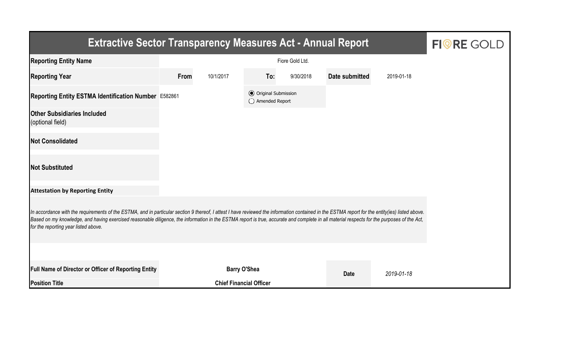| <b>Extractive Sector Transparency Measures Act - Annual Report</b>                                                                                                                                                                                                                                                                                                                                                                    | <b>FIORE GOLD</b> |                                |                                                  |           |                |            |  |  |  |  |
|---------------------------------------------------------------------------------------------------------------------------------------------------------------------------------------------------------------------------------------------------------------------------------------------------------------------------------------------------------------------------------------------------------------------------------------|-------------------|--------------------------------|--------------------------------------------------|-----------|----------------|------------|--|--|--|--|
| <b>Reporting Entity Name</b>                                                                                                                                                                                                                                                                                                                                                                                                          |                   |                                |                                                  |           |                |            |  |  |  |  |
| <b>Reporting Year</b>                                                                                                                                                                                                                                                                                                                                                                                                                 | From              | 10/1/2017                      | To:                                              | 9/30/2018 | Date submitted | 2019-01-18 |  |  |  |  |
| Reporting Entity ESTMA Identification Number E582861                                                                                                                                                                                                                                                                                                                                                                                  |                   |                                | <b>⊙</b> Original Submission<br>◯ Amended Report |           |                |            |  |  |  |  |
| <b>Other Subsidiaries Included</b><br>(optional field)                                                                                                                                                                                                                                                                                                                                                                                |                   |                                |                                                  |           |                |            |  |  |  |  |
| <b>Not Consolidated</b>                                                                                                                                                                                                                                                                                                                                                                                                               |                   |                                |                                                  |           |                |            |  |  |  |  |
| <b>Not Substituted</b>                                                                                                                                                                                                                                                                                                                                                                                                                |                   |                                |                                                  |           |                |            |  |  |  |  |
| <b>Attestation by Reporting Entity</b>                                                                                                                                                                                                                                                                                                                                                                                                |                   |                                |                                                  |           |                |            |  |  |  |  |
| In accordance with the requirements of the ESTMA, and in particular section 9 thereof, I attest I have reviewed the information contained in the ESTMA report for the entity(ies) listed above.<br>Based on my knowledge, and having exercised reasonable diligence, the information in the ESTMA report is true, accurate and complete in all material respects for the purposes of the Act,<br>for the reporting year listed above. |                   |                                |                                                  |           |                |            |  |  |  |  |
|                                                                                                                                                                                                                                                                                                                                                                                                                                       |                   |                                |                                                  |           |                |            |  |  |  |  |
| <b>Full Name of Director or Officer of Reporting Entity</b>                                                                                                                                                                                                                                                                                                                                                                           |                   | <b>Barry O'Shea</b>            |                                                  |           | <b>Date</b>    | 2019-01-18 |  |  |  |  |
| <b>Position Title</b>                                                                                                                                                                                                                                                                                                                                                                                                                 |                   | <b>Chief Financial Officer</b> |                                                  |           |                |            |  |  |  |  |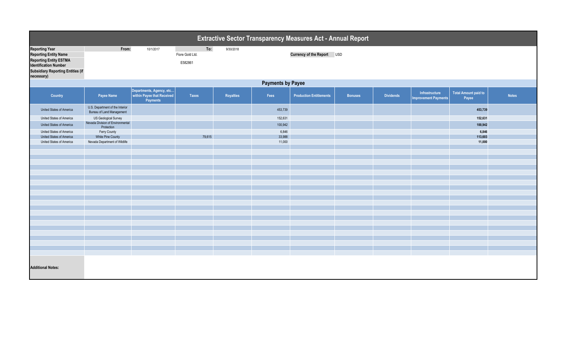| <b>Extractive Sector Transparency Measures Act - Annual Report</b>                                                                                                               |                                                              |                                                                    |                                   |           |         |                                |                |                  |                                               |                                      |              |  |  |
|----------------------------------------------------------------------------------------------------------------------------------------------------------------------------------|--------------------------------------------------------------|--------------------------------------------------------------------|-----------------------------------|-----------|---------|--------------------------------|----------------|------------------|-----------------------------------------------|--------------------------------------|--------------|--|--|
| <b>Reporting Year</b><br><b>Reporting Entity Name</b><br><b>Reporting Entity ESTMA</b><br><b>Identification Number</b><br><b>Subsidiary Reporting Entities (if</b><br>necessary) | From:                                                        | 10/1/2017                                                          | To:<br>Fiore Gold Ltd.<br>E582861 | 9/30/2018 |         | Currency of the Report USD     |                |                  |                                               |                                      |              |  |  |
|                                                                                                                                                                                  | <b>Payments by Payee</b>                                     |                                                                    |                                   |           |         |                                |                |                  |                                               |                                      |              |  |  |
| Country                                                                                                                                                                          | Payee Name                                                   | Departments, Agency, etc<br>within Payee that Received<br>Payments | Taxes                             | Royalties | Fees    | <b>Production Entitlements</b> | <b>Bonuses</b> | <b>Dividends</b> | Infrastructure<br><b>Improvement Payments</b> | <b>Total Amount paid to</b><br>Payee | <b>Notes</b> |  |  |
| United States of America                                                                                                                                                         | U.S. Department of the Interior<br>Bureau of Land Management |                                                                    |                                   |           | 453,739 |                                |                |                  |                                               | 453,739                              |              |  |  |
| United States of America                                                                                                                                                         | US Geological Survey                                         |                                                                    |                                   |           | 152,631 |                                |                |                  |                                               | 152,631                              |              |  |  |
| United States of America                                                                                                                                                         | Nevada Division of Environmental<br>Protection               |                                                                    |                                   |           | 100,942 |                                |                |                  |                                               | 100,942                              |              |  |  |
| United States of America                                                                                                                                                         | Ferry County                                                 |                                                                    |                                   |           | 6,846   |                                |                |                  |                                               | 6,846                                |              |  |  |
| United States of America                                                                                                                                                         | White Pine County                                            |                                                                    | 79,615                            |           | 33,988  |                                |                |                  |                                               | 113,603                              |              |  |  |
| United States of America                                                                                                                                                         | Nevada Department of Wildlife                                |                                                                    |                                   |           | 11,000  |                                |                |                  |                                               | 11,000                               |              |  |  |
|                                                                                                                                                                                  |                                                              |                                                                    |                                   |           |         |                                |                |                  |                                               |                                      |              |  |  |
|                                                                                                                                                                                  |                                                              |                                                                    |                                   |           |         |                                |                |                  |                                               |                                      |              |  |  |
|                                                                                                                                                                                  |                                                              |                                                                    |                                   |           |         |                                |                |                  |                                               |                                      |              |  |  |
|                                                                                                                                                                                  |                                                              |                                                                    |                                   |           |         |                                |                |                  |                                               |                                      |              |  |  |
|                                                                                                                                                                                  |                                                              |                                                                    |                                   |           |         |                                |                |                  |                                               |                                      |              |  |  |
|                                                                                                                                                                                  |                                                              |                                                                    |                                   |           |         |                                |                |                  |                                               |                                      |              |  |  |
|                                                                                                                                                                                  |                                                              |                                                                    |                                   |           |         |                                |                |                  |                                               |                                      |              |  |  |
|                                                                                                                                                                                  |                                                              |                                                                    |                                   |           |         |                                |                |                  |                                               |                                      |              |  |  |
|                                                                                                                                                                                  |                                                              |                                                                    |                                   |           |         |                                |                |                  |                                               |                                      |              |  |  |
|                                                                                                                                                                                  |                                                              |                                                                    |                                   |           |         |                                |                |                  |                                               |                                      |              |  |  |
|                                                                                                                                                                                  |                                                              |                                                                    |                                   |           |         |                                |                |                  |                                               |                                      |              |  |  |
|                                                                                                                                                                                  |                                                              |                                                                    |                                   |           |         |                                |                |                  |                                               |                                      |              |  |  |
|                                                                                                                                                                                  |                                                              |                                                                    |                                   |           |         |                                |                |                  |                                               |                                      |              |  |  |
|                                                                                                                                                                                  |                                                              |                                                                    |                                   |           |         |                                |                |                  |                                               |                                      |              |  |  |
|                                                                                                                                                                                  |                                                              |                                                                    |                                   |           |         |                                |                |                  |                                               |                                      |              |  |  |
|                                                                                                                                                                                  |                                                              |                                                                    |                                   |           |         |                                |                |                  |                                               |                                      |              |  |  |
|                                                                                                                                                                                  |                                                              |                                                                    |                                   |           |         |                                |                |                  |                                               |                                      |              |  |  |
|                                                                                                                                                                                  |                                                              |                                                                    |                                   |           |         |                                |                |                  |                                               |                                      |              |  |  |
|                                                                                                                                                                                  |                                                              |                                                                    |                                   |           |         |                                |                |                  |                                               |                                      |              |  |  |
| <b>Additional Notes:</b>                                                                                                                                                         |                                                              |                                                                    |                                   |           |         |                                |                |                  |                                               |                                      |              |  |  |